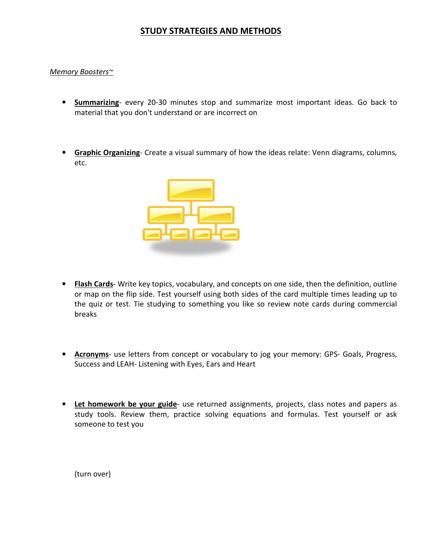## STUDY STRATEGIES AND METHODS

## Memory Boosters~

- Summarizing- every 20-30 minutes stop and summarize most important ideas. Go back to material that you don't understand or are incorrect on
- **Graphic Organizing** Create a visual summary of how the ideas relate: Venn diagrams, columns, etc.



- Flash Cards- Write key topics, vocabulary, and concepts on one side, then the definition, outline or map on the flip side. Test yourself using both sides of the card multiple times leading up to the quiz or test. Tie studying to something you like so review note cards during commercial breaks
- Acronyms- use letters from concept or vocabulary to jog your memory: GPS- Goals, Progress, Success and LEAH- Listening with Eyes, Ears and Heart
- Let homework be your guide- use returned assignments, projects, class notes and papers as study tools. Review them, practice solving equations and formulas. Test yourself or ask someone to test you

(turn over)